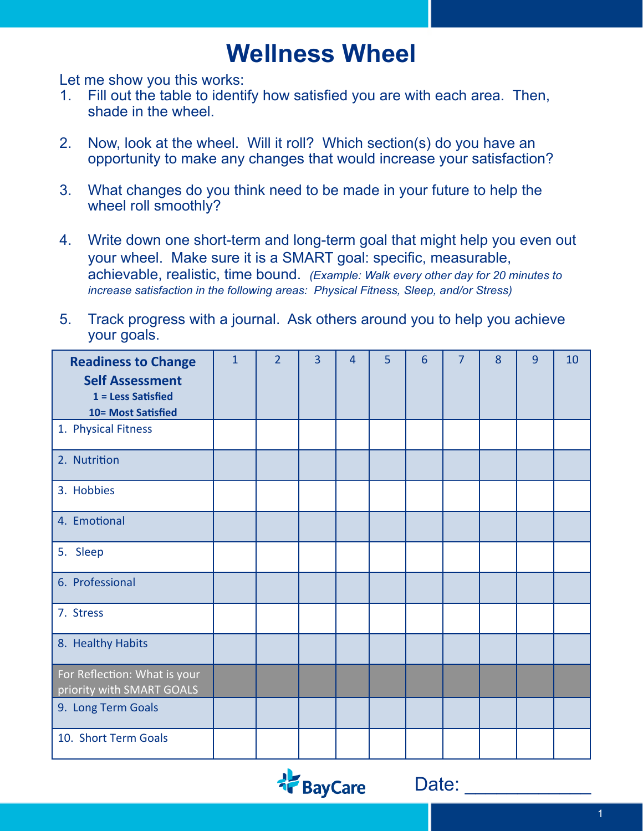## **Wellness Wheel**

Let me show you this works:

- 1. Fill out the table to identify how satisfied you are with each area. Then, shade in the wheel.
- 2. Now, look at the wheel. Will it roll? Which section(s) do you have an opportunity to make any changes that would increase your satisfaction?
- 3. What changes do you think need to be made in your future to help the wheel roll smoothly?
- 4. Write down one short-term and long-term goal that might help you even out your wheel. Make sure it is a SMART goal: specific, measurable, achievable, realistic, time bound. *(Example: Walk every other day for 20 minutes to increase satisfaction in the following areas: Physical Fitness, Sleep, and/or Stress)*
- 5. Track progress with a journal. Ask others around you to help you achieve your goals.

| <b>Readiness to Change</b><br><b>Self Assessment</b><br>$1 =$ Less Satisfied<br>10= Most Satisfied | $\mathbf{1}$ | $\overline{2}$ | $\overline{3}$ | $\overline{4}$ | 5 | 6 | $\overline{7}$ | 8 | 9 | 10 |
|----------------------------------------------------------------------------------------------------|--------------|----------------|----------------|----------------|---|---|----------------|---|---|----|
| 1. Physical Fitness                                                                                |              |                |                |                |   |   |                |   |   |    |
| 2. Nutrition                                                                                       |              |                |                |                |   |   |                |   |   |    |
| 3. Hobbies                                                                                         |              |                |                |                |   |   |                |   |   |    |
| 4. Emotional                                                                                       |              |                |                |                |   |   |                |   |   |    |
| 5. Sleep                                                                                           |              |                |                |                |   |   |                |   |   |    |
| 6. Professional                                                                                    |              |                |                |                |   |   |                |   |   |    |
| 7. Stress                                                                                          |              |                |                |                |   |   |                |   |   |    |
| 8. Healthy Habits                                                                                  |              |                |                |                |   |   |                |   |   |    |
| For Reflection: What is your<br>priority with SMART GOALS                                          |              |                |                |                |   |   |                |   |   |    |
| 9. Long Term Goals                                                                                 |              |                |                |                |   |   |                |   |   |    |
| 10. Short Term Goals                                                                               |              |                |                |                |   |   |                |   |   |    |



Date: